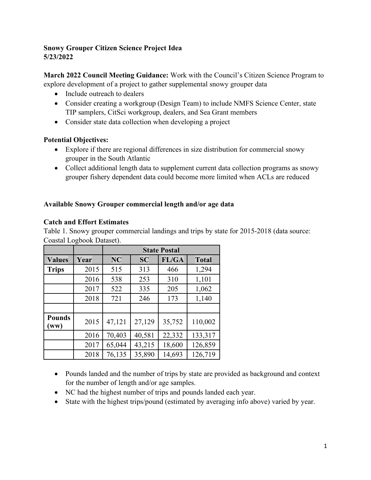## **Snowy Grouper Citizen Science Project Idea 5/23/2022**

**March 2022 Council Meeting Guidance:** Work with the Council's Citizen Science Program to explore development of a project to gather supplemental snowy grouper data

- Include outreach to dealers
- Consider creating a workgroup (Design Team) to include NMFS Science Center, state TIP samplers, CitSci workgroup, dealers, and Sea Grant members
- Consider state data collection when developing a project

## **Potential Objectives:**

- Explore if there are regional differences in size distribution for commercial snowy grouper in the South Atlantic
- Collect additional length data to supplement current data collection programs as snowy grouper fishery dependent data could become more limited when ACLs are reduced

## **Available Snowy Grouper commercial length and/or age data**

## **Catch and Effort Estimates**

Table 1. Snowy grouper commercial landings and trips by state for 2015-2018 (data source: Coastal Logbook Dataset).

|                       |      | <b>State Postal</b> |           |        |              |
|-----------------------|------|---------------------|-----------|--------|--------------|
| <b>Values</b>         | Year | <b>NC</b>           | <b>SC</b> | FL/GA  | <b>Total</b> |
| <b>Trips</b>          | 2015 | 515                 | 313       | 466    | 1,294        |
|                       | 2016 | 538                 | 253       | 310    | 1,101        |
|                       | 2017 | 522                 | 335       | 205    | 1,062        |
|                       | 2018 | 721                 | 246       | 173    | 1,140        |
|                       |      |                     |           |        |              |
| <b>Pounds</b><br>(ww) | 2015 | 47,121              | 27,129    | 35,752 | 110,002      |
|                       | 2016 | 70,403              | 40,581    | 22,332 | 133,317      |
|                       | 2017 | 65,044              | 43,215    | 18,600 | 126,859      |
|                       | 2018 | 76,135              | 35,890    | 14,693 | 126,719      |

- Pounds landed and the number of trips by state are provided as background and context for the number of length and/or age samples.
- NC had the highest number of trips and pounds landed each year.
- State with the highest trips/pound (estimated by averaging info above) varied by year.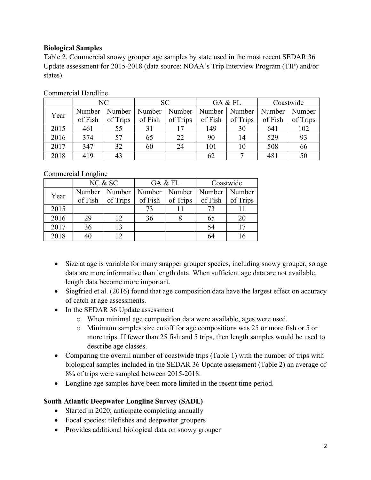## **Biological Samples**

Table 2. Commercial snowy grouper age samples by state used in the most recent SEDAR 36 Update assessment for 2015-2018 (data source: NOAA's Trip Interview Program (TIP) and/or states).

|      |         | NC       | SC.     |          | GA & FL |          | Coastwide |          |
|------|---------|----------|---------|----------|---------|----------|-----------|----------|
| Year | Number  | Number   | Number  | Number   | Number  | Number   | Number    | Number   |
|      | of Fish | of Trips | of Fish | of Trips | of Fish | of Trips | of Fish   | of Trips |
| 2015 | 461     | 55       | 31      |          | 149     | 30       | 641       | 102      |
| 2016 | 374     | 57       | 65      | 22       | 90      | 14       | 529       | 93       |
| 2017 | 347     | 32       | 60      | 24       | 101     | 10       | 508       | 66       |
| 2018 | 419     | 43       |         |          | 62      |          | 481       | 50       |

Commercial Handline

Commercial Longline

|      | NC & SC |                                   |         | GA & FL  | Coastwide       |          |
|------|---------|-----------------------------------|---------|----------|-----------------|----------|
| Year |         | Number   Number   Number   Number |         |          | Number   Number |          |
|      | of Fish | of Trips                          | of Fish | of Trips | of Fish         | of Trips |
| 2015 |         |                                   |         |          | 73              |          |
| 2016 | 29      | 12                                | 36      |          | 65              |          |
| 2017 | 36      | 13                                |         |          | 54              |          |
| 2018 |         |                                   |         |          | 64              |          |

- Size at age is variable for many snapper grouper species, including snowy grouper, so age data are more informative than length data. When sufficient age data are not available, length data become more important.
- Siegfried et al. (2016) found that age composition data have the largest effect on accuracy of catch at age assessments.
- In the SEDAR 36 Update assessment
	- o When minimal age composition data were available, ages were used.
	- o Minimum samples size cutoff for age compositions was 25 or more fish or 5 or more trips. If fewer than 25 fish and 5 trips, then length samples would be used to describe age classes.
- Comparing the overall number of coastwide trips (Table 1) with the number of trips with biological samples included in the SEDAR 36 Update assessment (Table 2) an average of 8% of trips were sampled between 2015-2018.
- Longline age samples have been more limited in the recent time period.

# **South Atlantic Deepwater Longline Survey (SADL)**

- Started in 2020; anticipate completing annually
- Focal species: tilefishes and deepwater groupers
- Provides additional biological data on snowy grouper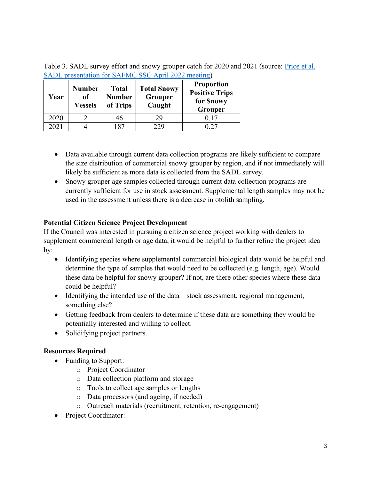Table 3. SADL survey effort and snowy grouper catch for 2020 and 2021 (source: *Price et al.* [SADL presentation for SAFMC SSC April 2022 meeting\)](https://safmc.net/wp-content/uploads/2022/05/A08_SADL-presentation-SAFMC-SSC-April-2022.pdf)

| Year | <b>Number</b><br>of<br><b>Vessels</b> | <b>Total</b><br><b>Number</b><br>of Trips | <b>Total Snowy</b><br>Grouper<br>Caught | <b>Proportion</b><br><b>Positive Trips</b><br>for Snowy<br>Grouper |
|------|---------------------------------------|-------------------------------------------|-----------------------------------------|--------------------------------------------------------------------|
| 2020 |                                       | 46                                        | 29                                      | 0.17                                                               |
| 2021 |                                       | 187                                       | 229                                     |                                                                    |

- Data available through current data collection programs are likely sufficient to compare the size distribution of commercial snowy grouper by region, and if not immediately will likely be sufficient as more data is collected from the SADL survey.
- Snowy grouper age samples collected through current data collection programs are currently sufficient for use in stock assessment. Supplemental length samples may not be used in the assessment unless there is a decrease in otolith sampling.

# **Potential Citizen Science Project Development**

If the Council was interested in pursuing a citizen science project working with dealers to supplement commercial length or age data, it would be helpful to further refine the project idea by:

- Identifying species where supplemental commercial biological data would be helpful and determine the type of samples that would need to be collected (e.g. length, age). Would these data be helpful for snowy grouper? If not, are there other species where these data could be helpful?
- Identifying the intended use of the data stock assessment, regional management, something else?
- Getting feedback from dealers to determine if these data are something they would be potentially interested and willing to collect.
- Solidifying project partners.

### **Resources Required**

- Funding to Support:
	- o Project Coordinator
	- o Data collection platform and storage
	- o Tools to collect age samples or lengths
	- o Data processors (and ageing, if needed)
	- o Outreach materials (recruitment, retention, re-engagement)
- Project Coordinator: